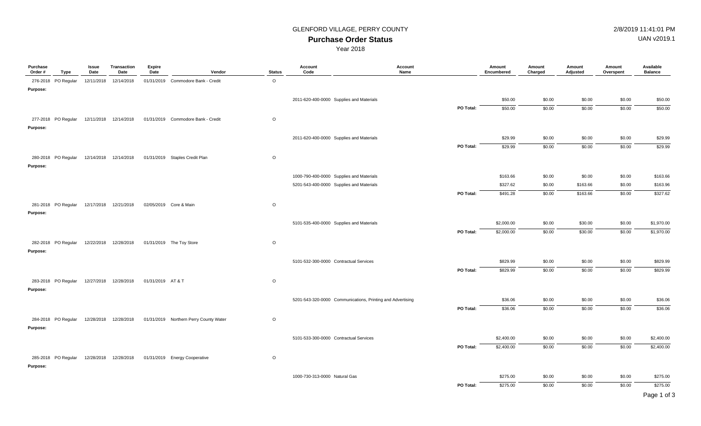## **Purchase Order Status** GLENFORD VILLAGE, PERRY COUNTY **1998** 2/8/2019 11:41:01 PM

UAN v2019.1

Year 2018

| Purchase<br>Order# | Type                                      | Issue<br>Date | Transaction<br>Date    | <b>Expire</b><br>Date | Vendor                                 | <b>Status</b> | Account<br>Code                          | Account<br>Name                                            |           | Amount<br>Encumbered | Amount<br>Charged | Amount<br>Adjusted | Amount<br>Overspent | Available<br><b>Balance</b> |
|--------------------|-------------------------------------------|---------------|------------------------|-----------------------|----------------------------------------|---------------|------------------------------------------|------------------------------------------------------------|-----------|----------------------|-------------------|--------------------|---------------------|-----------------------------|
|                    | 276-2018 PO Regular                       |               | 12/11/2018 12/14/2018  |                       | 01/31/2019 Commodore Bank - Credit     | $\circ$       |                                          |                                                            |           |                      |                   |                    |                     |                             |
| Purpose:           |                                           |               |                        |                       |                                        |               |                                          |                                                            |           |                      |                   |                    |                     |                             |
|                    |                                           |               |                        |                       |                                        |               | 2011-620-400-0000 Supplies and Materials |                                                            |           | \$50.00              | \$0.00            | \$0.00             | \$0.00              | \$50.00                     |
|                    |                                           |               |                        |                       |                                        |               |                                          |                                                            | PO Total: | \$50.00              | \$0.00            | \$0.00             | \$0.00              | \$50.00                     |
|                    | 277-2018 PO Regular 12/11/2018 12/14/2018 |               |                        |                       | 01/31/2019 Commodore Bank - Credit     | $\circ$       |                                          |                                                            |           |                      |                   |                    |                     |                             |
| Purpose:           |                                           |               |                        |                       |                                        |               |                                          |                                                            |           |                      |                   |                    |                     |                             |
|                    |                                           |               |                        |                       |                                        |               | 2011-620-400-0000 Supplies and Materials |                                                            |           | \$29.99              | \$0.00            | \$0.00             | \$0.00              | \$29.99                     |
|                    |                                           |               |                        |                       |                                        |               |                                          |                                                            | PO Total: | \$29.99              | \$0.00            | \$0.00             | \$0.00              | \$29.99                     |
|                    | 280-2018 PO Regular                       |               | 12/14/2018 12/14/2018  |                       | 01/31/2019 Staples Credit Plan         | $\circ$       |                                          |                                                            |           |                      |                   |                    |                     |                             |
| Purpose:           |                                           |               |                        |                       |                                        |               |                                          |                                                            |           |                      |                   |                    |                     |                             |
|                    |                                           |               |                        |                       |                                        |               | 1000-790-400-0000 Supplies and Materials |                                                            |           | \$163.66             | \$0.00            | \$0.00             | \$0.00              | \$163.66                    |
|                    |                                           |               |                        |                       |                                        |               | 5201-543-400-0000 Supplies and Materials |                                                            |           | \$327.62             | \$0.00            | \$163.66           | \$0.00              | \$163.96                    |
|                    |                                           |               |                        |                       |                                        |               |                                          |                                                            | PO Total: | \$491.28             | \$0.00            | \$163.66           | \$0.00              | \$327.62                    |
|                    | 281-2018 PO Regular                       |               | 12/17/2018 12/21/2018  |                       | 02/05/2019 Core & Main                 | $\circ$       |                                          |                                                            |           |                      |                   |                    |                     |                             |
| Purpose:           |                                           |               |                        |                       |                                        |               |                                          |                                                            |           |                      |                   |                    |                     |                             |
|                    |                                           |               |                        |                       |                                        |               | 5101-535-400-0000 Supplies and Materials |                                                            |           | \$2,000.00           | \$0.00            | \$30.00            | \$0.00              | \$1,970.00                  |
|                    |                                           |               |                        |                       |                                        |               |                                          |                                                            | PO Total: | \$2,000.00           | \$0.00            | \$30.00            | \$0.00              | \$1,970.00                  |
|                    |                                           |               |                        |                       |                                        |               |                                          |                                                            |           |                      |                   |                    |                     |                             |
| Purpose:           | 282-2018 PO Regular                       |               | 12/22/2018  12/28/2018 |                       | 01/31/2019 The Toy Store               | $\circ$       |                                          |                                                            |           |                      |                   |                    |                     |                             |
|                    |                                           |               |                        |                       |                                        |               |                                          |                                                            |           |                      |                   |                    |                     |                             |
|                    |                                           |               |                        |                       |                                        |               | 5101-532-300-0000 Contractual Services   |                                                            |           | \$829.99             | \$0.00            | \$0.00             | \$0.00              | \$829.99                    |
|                    |                                           |               |                        |                       |                                        |               |                                          |                                                            | PO Total: | \$829.99             | \$0.00            | \$0.00             | \$0.00              | \$829.99                    |
|                    | 283-2018 PO Regular                       |               | 12/27/2018  12/28/2018 | 01/31/2019 AT&T       |                                        | $\circ$       |                                          |                                                            |           |                      |                   |                    |                     |                             |
| Purpose:           |                                           |               |                        |                       |                                        |               |                                          |                                                            |           |                      |                   |                    |                     |                             |
|                    |                                           |               |                        |                       |                                        |               |                                          | 5201-543-320-0000 Communications, Printing and Advertising |           | \$36.06              | \$0.00            | \$0.00             | \$0.00              | \$36.06                     |
|                    |                                           |               |                        |                       |                                        |               |                                          |                                                            | PO Total: | \$36.06              | \$0.00            | \$0.00             | \$0.00              | \$36.06                     |
|                    | 284-2018 PO Regular                       |               | 12/28/2018  12/28/2018 |                       | 01/31/2019 Northern Perry County Water | $\circ$       |                                          |                                                            |           |                      |                   |                    |                     |                             |
| Purpose:           |                                           |               |                        |                       |                                        |               |                                          |                                                            |           |                      |                   |                    |                     |                             |
|                    |                                           |               |                        |                       |                                        |               | 5101-533-300-0000 Contractual Services   |                                                            |           | \$2,400.00           | \$0.00            | \$0.00             | \$0.00              | \$2,400.00                  |
|                    |                                           |               |                        |                       |                                        |               |                                          |                                                            | PO Total: | \$2,400.00           | \$0.00            | \$0.00             | \$0.00              | \$2,400.00                  |
|                    | 285-2018 PO Regular                       |               | 12/28/2018  12/28/2018 |                       | 01/31/2019 Energy Cooperative          | $\circ$       |                                          |                                                            |           |                      |                   |                    |                     |                             |
| Purpose:           |                                           |               |                        |                       |                                        |               |                                          |                                                            |           |                      |                   |                    |                     |                             |
|                    |                                           |               |                        |                       |                                        |               | 1000-730-313-0000 Natural Gas            |                                                            |           | \$275.00             | \$0.00            | \$0.00             | \$0.00              | \$275.00                    |
|                    |                                           |               |                        |                       |                                        |               |                                          |                                                            | PO Total: | \$275.00             | \$0.00            | \$0.00             | \$0.00              | \$275.00                    |
|                    |                                           |               |                        |                       |                                        |               |                                          |                                                            |           |                      |                   |                    |                     | $\sim$ $\sim$ $\sim$        |

Page 1 of 3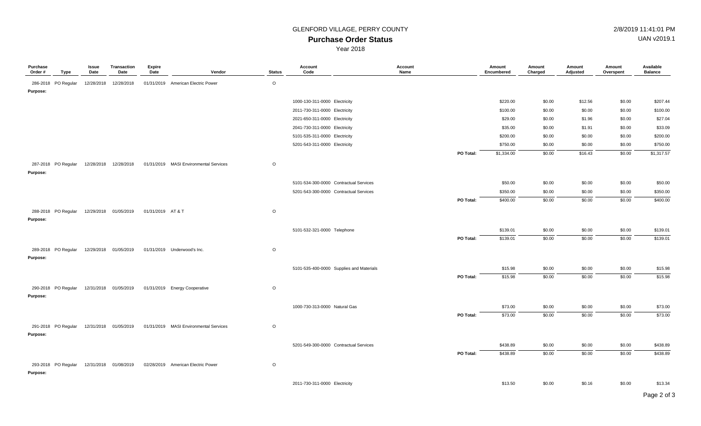## **Purchase Order Status**

Year 2018

| <b>GLENFORD VILLAGE, PERRY COUNTY</b> | 2/8/2019 11:41:01 PM     |
|---------------------------------------|--------------------------|
| Durahaan Order Claius                 | $1$ ANI $\sqrt{2}$ 010 1 |

UAN v2019.1

| Purchase<br>Order # | Type                | Issue<br>Date | <b>Transaction</b><br>Date | <b>Expire</b><br>Date | Vendor                                 | <b>Status</b> | Account<br>Code                          | Account<br>Name |           | Amount<br>Encumbered | Amount<br>Charged | Amount<br>Adjusted | Amount<br>Overspent | Available<br><b>Balance</b> |
|---------------------|---------------------|---------------|----------------------------|-----------------------|----------------------------------------|---------------|------------------------------------------|-----------------|-----------|----------------------|-------------------|--------------------|---------------------|-----------------------------|
|                     | 286-2018 PO Regular | 12/28/2018    | 12/28/2018                 |                       | 01/31/2019 American Electric Power     | $\circ$       |                                          |                 |           |                      |                   |                    |                     |                             |
| Purpose:            |                     |               |                            |                       |                                        |               |                                          |                 |           |                      |                   |                    |                     |                             |
|                     |                     |               |                            |                       |                                        |               | 1000-130-311-0000 Electricity            |                 |           | \$220.00             | \$0.00            | \$12.56            | \$0.00              | \$207.44                    |
|                     |                     |               |                            |                       |                                        |               | 2011-730-311-0000 Electricity            |                 |           | \$100.00             | \$0.00            | \$0.00             | \$0.00              | \$100.00                    |
|                     |                     |               |                            |                       |                                        |               | 2021-650-311-0000 Electricity            |                 |           | \$29.00              | \$0.00            | \$1.96             | \$0.00              | \$27.04                     |
|                     |                     |               |                            |                       |                                        |               | 2041-730-311-0000 Electricity            |                 |           | \$35.00              | \$0.00            | \$1.91             | \$0.00              | \$33.09                     |
|                     |                     |               |                            |                       |                                        |               | 5101-535-311-0000 Electricity            |                 |           | \$200.00             | \$0.00            | \$0.00             | \$0.00              | \$200.00                    |
|                     |                     |               |                            |                       |                                        |               | 5201-543-311-0000 Electricity            |                 |           | \$750.00             | \$0.00            | \$0.00             | \$0.00              | \$750.00                    |
|                     |                     |               |                            |                       |                                        |               |                                          |                 | PO Total: | \$1,334.00           | \$0.00            | \$16.43            | \$0.00              | \$1,317.57                  |
|                     | 287-2018 PO Regular |               | 12/28/2018  12/28/2018     |                       | 01/31/2019 MASI Environmental Services | $\circ$       |                                          |                 |           |                      |                   |                    |                     |                             |
| Purpose:            |                     |               |                            |                       |                                        |               |                                          |                 |           |                      |                   |                    |                     |                             |
|                     |                     |               |                            |                       |                                        |               | 5101-534-300-0000 Contractual Services   |                 |           | \$50.00              | \$0.00            | \$0.00             | \$0.00              | \$50.00                     |
|                     |                     |               |                            |                       |                                        |               | 5201-543-300-0000 Contractual Services   |                 |           | \$350.00             | \$0.00            | \$0.00             | \$0.00              | \$350.00                    |
|                     |                     |               |                            |                       |                                        |               |                                          |                 | PO Total: | \$400.00             | \$0.00            | \$0.00             | \$0.00              | \$400.00                    |
|                     | 288-2018 PO Regular |               | 12/29/2018 01/05/2019      | 01/31/2019 AT & T     |                                        | $\circ$       |                                          |                 |           |                      |                   |                    |                     |                             |
| Purpose:            |                     |               |                            |                       |                                        |               |                                          |                 |           |                      |                   |                    |                     |                             |
|                     |                     |               |                            |                       |                                        |               | 5101-532-321-0000 Telephone              |                 |           | \$139.01             | \$0.00            | \$0.00             | \$0.00              | \$139.01                    |
|                     |                     |               |                            |                       |                                        |               |                                          |                 | PO Total: | \$139.01             | \$0.00            | \$0.00             | \$0.00              | \$139.01                    |
|                     |                     |               |                            |                       |                                        |               |                                          |                 |           |                      |                   |                    |                     |                             |
|                     | 289-2018 PO Regular |               | 12/29/2018 01/05/2019      |                       | 01/31/2019 Underwood's Inc.            | $\circ$       |                                          |                 |           |                      |                   |                    |                     |                             |
| Purpose:            |                     |               |                            |                       |                                        |               |                                          |                 |           |                      |                   |                    |                     |                             |
|                     |                     |               |                            |                       |                                        |               | 5101-535-400-0000 Supplies and Materials |                 |           | \$15.98              | \$0.00            | \$0.00             | \$0.00              | \$15.98                     |
|                     |                     |               |                            |                       |                                        |               |                                          |                 | PO Total: | \$15.98              | \$0.00            | \$0.00             | \$0.00              | \$15.98                     |
|                     | 290-2018 PO Regular |               | 12/31/2018 01/05/2019      |                       | 01/31/2019 Energy Cooperative          | $\circ$       |                                          |                 |           |                      |                   |                    |                     |                             |
| Purpose:            |                     |               |                            |                       |                                        |               |                                          |                 |           |                      |                   |                    |                     |                             |
|                     |                     |               |                            |                       |                                        |               | 1000-730-313-0000 Natural Gas            |                 |           | \$73.00              | \$0.00            | \$0.00             | \$0.00              | \$73.00                     |
|                     |                     |               |                            |                       |                                        |               |                                          |                 | PO Total: | \$73.00              | \$0.00            | \$0.00             | \$0.00              | \$73.00                     |
|                     | 291-2018 PO Regular |               | 12/31/2018 01/05/2019      |                       | 01/31/2019 MASI Environmental Services | $\circ$       |                                          |                 |           |                      |                   |                    |                     |                             |
| Purpose:            |                     |               |                            |                       |                                        |               |                                          |                 |           |                      |                   |                    |                     |                             |
|                     |                     |               |                            |                       |                                        |               | 5201-549-300-0000 Contractual Services   |                 |           | \$438.89             |                   |                    |                     |                             |
|                     |                     |               |                            |                       |                                        |               |                                          |                 | PO Total: |                      | \$0.00            | \$0.00             | \$0.00              | \$438.89                    |
|                     |                     |               |                            |                       |                                        |               |                                          |                 |           | \$438.89             | \$0.00            | \$0.00             | \$0.00              | \$438.89                    |
|                     | 293-2018 PO Regular |               | 12/31/2018 01/08/2019      |                       | 02/28/2019 American Electric Power     | $\circ$       |                                          |                 |           |                      |                   |                    |                     |                             |
| Purpose:            |                     |               |                            |                       |                                        |               |                                          |                 |           |                      |                   |                    |                     |                             |
|                     |                     |               |                            |                       |                                        |               | 2011-730-311-0000 Electricity            |                 |           | \$13.50              | \$0.00            | \$0.16             | \$0.00              | \$13.34                     |